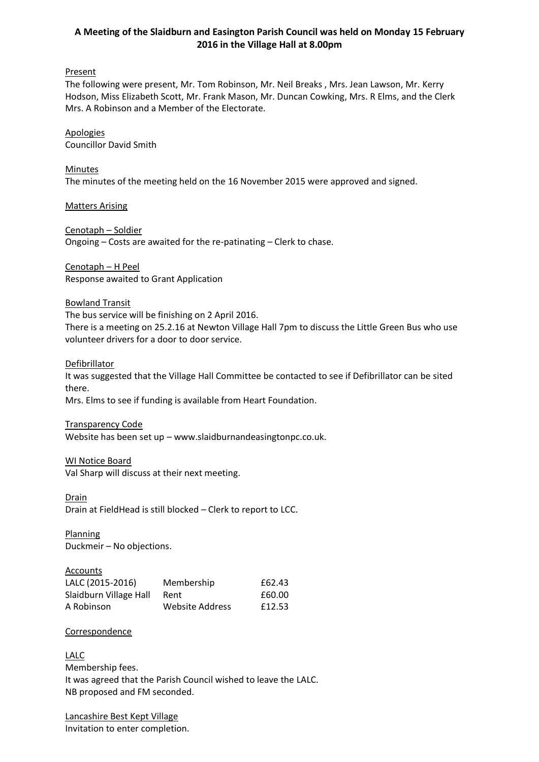# **A Meeting of the Slaidburn and Easington Parish Council was held on Monday 15 February 2016 in the Village Hall at 8.00pm**

## **Present**

The following were present, Mr. Tom Robinson, Mr. Neil Breaks , Mrs. Jean Lawson, Mr. Kerry Hodson, Miss Elizabeth Scott, Mr. Frank Mason, Mr. Duncan Cowking, Mrs. R Elms, and the Clerk Mrs. A Robinson and a Member of the Electorate.

Apologies Councillor David Smith

Minutes The minutes of the meeting held on the 16 November 2015 were approved and signed.

Matters Arising

Cenotaph – Soldier Ongoing – Costs are awaited for the re-patinating – Clerk to chase.

Cenotaph – H Peel Response awaited to Grant Application

Bowland Transit The bus service will be finishing on 2 April 2016. There is a meeting on 25.2.16 at Newton Village Hall 7pm to discuss the Little Green Bus who use volunteer drivers for a door to door service.

Defibrillator

It was suggested that the Village Hall Committee be contacted to see if Defibrillator can be sited there.

Mrs. Elms to see if funding is available from Heart Foundation.

Transparency Code

Website has been set up – www.slaidburnandeasingtonpc.co.uk.

### WI Notice Board

Val Sharp will discuss at their next meeting.

**Drain** Drain at FieldHead is still blocked – Clerk to report to LCC.

**Planning** Duckmeir – No objections.

Accounts

| LALC (2015-2016)       | Membership             | £62.43 |
|------------------------|------------------------|--------|
| Slaidburn Village Hall | Rent                   | £60.00 |
| A Robinson             | <b>Website Address</b> | £12.53 |

### **Correspondence**

LALC Membership fees. It was agreed that the Parish Council wished to leave the LALC. NB proposed and FM seconded.

Lancashire Best Kept Village Invitation to enter completion.